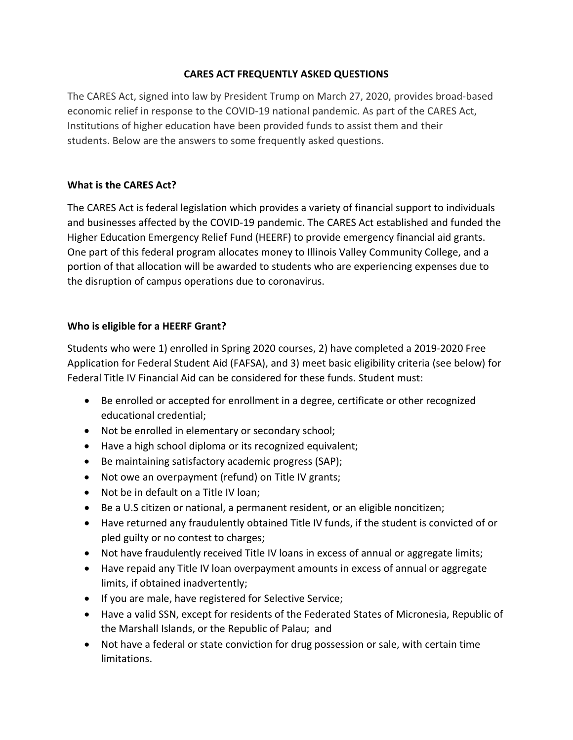# **CARES ACT FREQUENTLY ASKED QUESTIONS**

The CARES Act, signed into law by President Trump on March 27, 2020, provides broad-based economic relief in response to the COVID-19 national pandemic. As part of the CARES Act, Institutions of higher education have been provided funds to assist them and their students. Below are the answers to some frequently asked questions.

# **What is the CARES Act?**

The [CARES Act](https://www.ed.gov/news/press-releases/secretary-devos-rapidly-delivers-more-6-billion-emergency-cash-grants-college-students-impacted-coronavirus-outbreak) is federal legislation which provides a variety of financial support to individuals and businesses affected by the COVID-19 pandemic. The CARES Act established and funded the Higher Education Emergency Relief Fund (HEERF) to provide emergency financial aid grants. One part of this federal program allocates money to Illinois Valley Community College, and a portion of that allocation will be awarded to students who are experiencing expenses due to the disruption of campus operations due to coronavirus.

# **Who is eligible for a HEERF Grant?**

Students who were 1) enrolled in Spring 2020 courses, 2) have completed a 2019-2020 Free Application for Federal Student Aid (FAFSA), and 3) meet basic eligibility criteria (see below) for Federal Title IV Financial Aid can be considered for these funds. Student must:

- Be enrolled or accepted for enrollment in a degree, certificate or other recognized educational credential;
- Not be enrolled in elementary or secondary school;
- Have a high school diploma or its recognized equivalent;
- Be maintaining satisfactory academic progress (SAP);
- Not owe an overpayment (refund) on Title IV grants;
- Not be in default on a Title IV loan;
- Be a U.S citizen or national, a permanent resident, or an [eligible noncitizen](https://fafsa.ed.gov/help/fotw15a.htm);
- Have returned any fraudulently obtained Title IV funds, if the student is convicted of or pled guilty or no contest to charges;
- Not have fraudulently received Title IV loans in excess of annual or aggregate limits;
- Have repaid any Title IV loan overpayment amounts in excess of annual or aggregate limits, if obtained inadvertently;
- If you are male, have registered for Selective Service;
- Have a valid SSN, except for residents of the Federated States of Micronesia, Republic of the Marshall Islands, or the Republic of Palau; and
- Not have a federal or state conviction for drug possession or sale, with certain time limitations.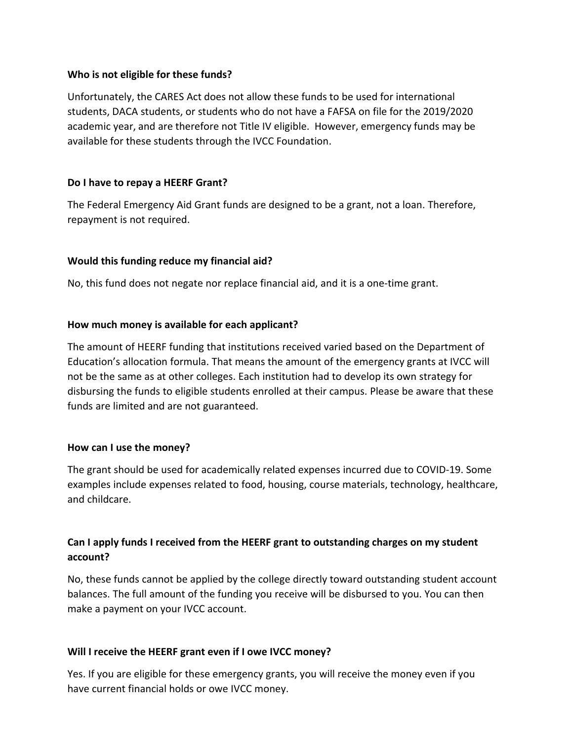#### **Who is not eligible for these funds?**

Unfortunately, the CARES Act does not allow these funds to be used for international students, DACA students, or students who do not have a FAFSA on file for the 2019/2020 academic year, and are therefore not Title IV eligible. However, emergency funds may be available for these students through the IVCC Foun[dation](https://forms.office.com/Pages/ResponsePage.aspx?id=3pQeWC9-aU2dX3kdL7jzGogMpb2scXRNrI-pBjbdeTZUOUQ1R0tNTUdTSllKVEoyMUdTT0tQV1RPVy4u).

## **Do I have to repay a HEERF Grant?**

The Federal Emergency Aid Grant [funds are desig](https://cm.maxient.com/reportingform.php?JolietJuniorCollege&layout_id=50)ned to be a grant, not a loan. Therefore, repayment is not required.

### **Would this funding reduce my financial aid?**

No, this fund does not negate nor replace financial aid, and it is a one-time grant.

### **How much money is available for each applicant?**

The amount of HEERF funding that institutions received varied based on the Department of Education's allocation formula. That means the amount of the emergency grants at IVCC will not be the same as at other colleges. Each institution had to develop its own strategy for disbursing the funds to eligible students enrolled at their campus. Please be aware that these funds are limited and are not guaranteed.

#### **How can I use the money?**

The grant should be used for academically related expenses incurred due to COVID-19. Some examples include expenses related to food, housing, course materials, technology, healthcare, and childcare.

# **Can I apply funds I received from the HEERF grant to outstanding charges on my student account?**

No, these funds cannot be applied by the college directly toward outstanding student account balances. The full amount of the funding you receive will be disbursed to you. You can then make a payment on your IVCC account.

#### **Will I receive the HEERF grant even if I owe IVCC money?**

Yes. If you are eligible for these emergency grants, you will receive the money even if you have current financial holds or owe IVCC money.